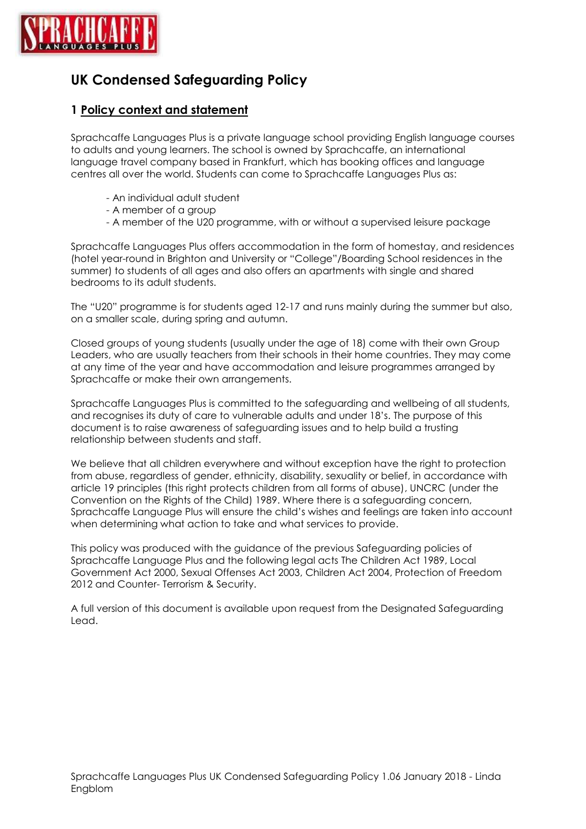

# **UK Condensed Safeguarding Policy**

## **1 Policy context and statement**

Sprachcaffe Languages Plus is a private language school providing English language courses to adults and young learners. The school is owned by Sprachcaffe, an international language travel company based in Frankfurt, which has booking offices and language centres all over the world. Students can come to Sprachcaffe Languages Plus as:

- An individual adult student
- A member of a group
- A member of the U20 programme, with or without a supervised leisure package

Sprachcaffe Languages Plus offers accommodation in the form of homestay, and residences (hotel year-round in Brighton and University or "College"/Boarding School residences in the summer) to students of all ages and also offers an apartments with single and shared bedrooms to its adult students.

The "U20" programme is for students aged 12-17 and runs mainly during the summer but also, on a smaller scale, during spring and autumn.

Closed groups of young students (usually under the age of 18) come with their own Group Leaders, who are usually teachers from their schools in their home countries. They may come at any time of the year and have accommodation and leisure programmes arranged by Sprachcaffe or make their own arrangements.

Sprachcaffe Languages Plus is committed to the safeguarding and wellbeing of all students, and recognises its duty of care to vulnerable adults and under 18's. The purpose of this document is to raise awareness of safeguarding issues and to help build a trusting relationship between students and staff.

We believe that all children everywhere and without exception have the right to protection from abuse, regardless of gender, ethnicity, disability, sexuality or belief, in accordance with article 19 principles (this right protects children from all forms of abuse), UNCRC (under the Convention on the Rights of the Child) 1989. Where there is a safeguarding concern, Sprachcaffe Language Plus will ensure the child's wishes and feelings are taken into account when determining what action to take and what services to provide.

This policy was produced with the guidance of the previous Safeguarding policies of Sprachcaffe Language Plus and the following legal acts The Children Act 1989, Local Government Act 2000, Sexual Offenses Act 2003, Children Act 2004, Protection of Freedom 2012 and Counter- Terrorism & Security.

A full version of this document is available upon request from the Designated Safeguarding Lead.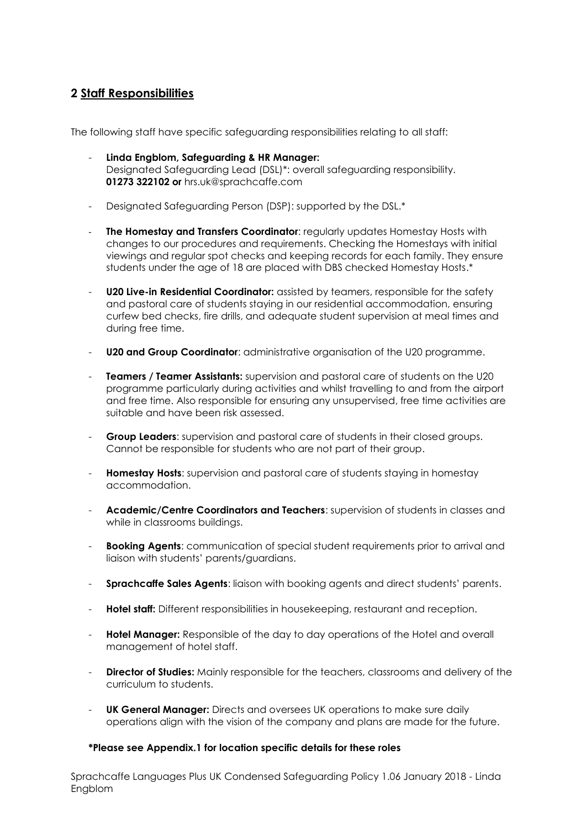## **2 Staff Responsibilities**

The following staff have specific safeguarding responsibilities relating to all staff:

- **Linda Engblom, Safeguarding & HR Manager:** Designated Safeguarding Lead (DSL)\*: overall safeguarding responsibility. **01273 322102 or** hrs.uk@sprachcaffe.com
- Designated Safeguarding Person (DSP): supported by the DSL.\*
- **The Homestay and Transfers Coordinator: regularly updates Homestay Hosts with** changes to our procedures and requirements. Checking the Homestays with initial viewings and regular spot checks and keeping records for each family. They ensure students under the age of 18 are placed with DBS checked Homestay Hosts.\*
- **U20 Live-in Residential Coordinator:** assisted by teamers, responsible for the safety and pastoral care of students staying in our residential accommodation, ensuring curfew bed checks, fire drills, and adequate student supervision at meal times and during free time.
- **U20 and Group Coordinator:** administrative organisation of the U20 programme.
- **Teamers / Teamer Assistants:** supervision and pastoral care of students on the U20 programme particularly during activities and whilst travelling to and from the airport and free time. Also responsible for ensuring any unsupervised, free time activities are suitable and have been risk assessed.
- **Group Leaders:** supervision and pastoral care of students in their closed groups. Cannot be responsible for students who are not part of their group.
- **Homestay Hosts:** supervision and pastoral care of students staying in homestay accommodation.
- **Academic/Centre Coordinators and Teachers**: supervision of students in classes and while in classrooms buildings.
- **Booking Agents:** communication of special student requirements prior to arrival and liaison with students' parents/guardians.
- **Sprachcaffe Sales Agents**: liaison with booking agents and direct students' parents.
- **Hotel staff:** Different responsibilities in housekeeping, restaurant and reception.
- **Hotel Manager:** Responsible of the day to day operations of the Hotel and overall management of hotel staff.
- **Director of Studies:** Mainly responsible for the teachers, classrooms and delivery of the curriculum to students.
- **UK General Manager:** Directs and oversees UK operations to make sure daily operations align with the vision of the company and plans are made for the future.

#### **\*Please see Appendix.1 for location specific details for these roles**

Sprachcaffe Languages Plus UK Condensed Safeguarding Policy 1.06 January 2018 - Linda Engblom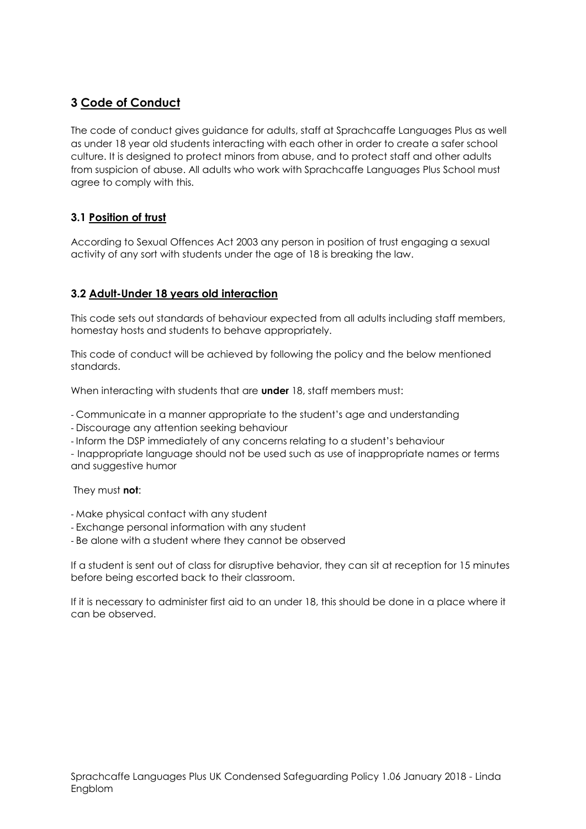## **3 Code of Conduct**

The code of conduct gives guidance for adults, staff at Sprachcaffe Languages Plus as well as under 18 year old students interacting with each other in order to create a safer school culture. It is designed to protect minors from abuse, and to protect staff and other adults from suspicion of abuse. All adults who work with Sprachcaffe Languages Plus School must agree to comply with this.

## **3.1 Position of trust**

According to Sexual Offences Act 2003 any person in position of trust engaging a sexual activity of any sort with students under the age of 18 is breaking the law.

## **3.2 Adult-Under 18 years old interaction**

This code sets out standards of behaviour expected from all adults including staff members, homestay hosts and students to behave appropriately.

This code of conduct will be achieved by following the policy and the below mentioned standards.

When interacting with students that are **under** 18, staff members must:

- Communicate in a manner appropriate to the student's age and understanding

- Discourage any attention seeking behaviour

- Inform the DSP immediately of any concerns relating to a student's behaviour

- Inappropriate language should not be used such as use of inappropriate names or terms and suggestive humor

They must **not**:

- Make physical contact with any student
- Exchange personal information with any student

- Be alone with a student where they cannot be observed

If a student is sent out of class for disruptive behavior, they can sit at reception for 15 minutes before being escorted back to their classroom.

If it is necessary to administer first aid to an under 18, this should be done in a place where it can be observed.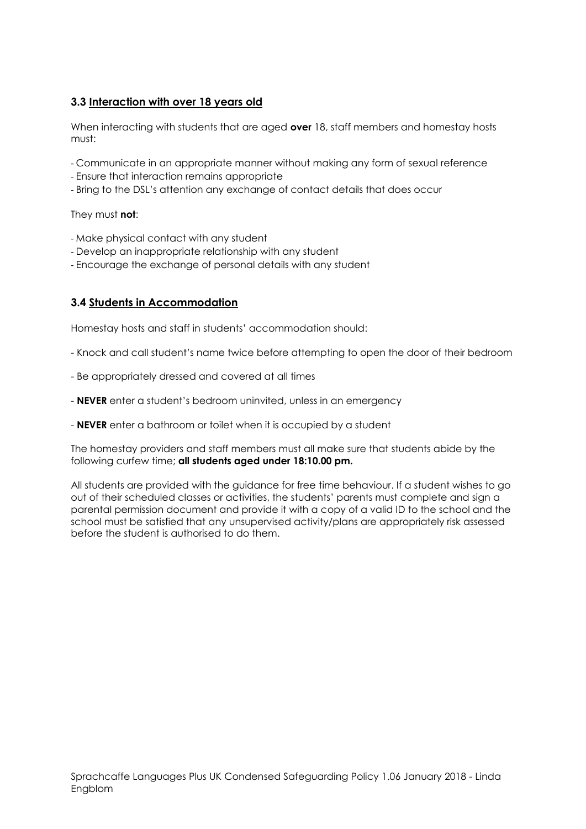## **3.3 Interaction with over 18 years old**

When interacting with students that are aged **over** 18, staff members and homestay hosts must:

- Communicate in an appropriate manner without making any form of sexual reference
- Ensure that interaction remains appropriate
- Bring to the DSL's attention any exchange of contact details that does occur

#### They must **not**:

- Make physical contact with any student
- Develop an inappropriate relationship with any student
- Encourage the exchange of personal details with any student

## **3.4 Students in Accommodation**

Homestay hosts and staff in students' accommodation should:

- Knock and call student's name twice before attempting to open the door of their bedroom
- Be appropriately dressed and covered at all times
- **NEVER** enter a student's bedroom uninvited, unless in an emergency
- **NEVER** enter a bathroom or toilet when it is occupied by a student

The homestay providers and staff members must all make sure that students abide by the following curfew time; **all students aged under 18:10.00 pm.**

All students are provided with the guidance for free time behaviour. If a student wishes to go out of their scheduled classes or activities, the students' parents must complete and sign a parental permission document and provide it with a copy of a valid ID to the school and the school must be satisfied that any unsupervised activity/plans are appropriately risk assessed before the student is authorised to do them.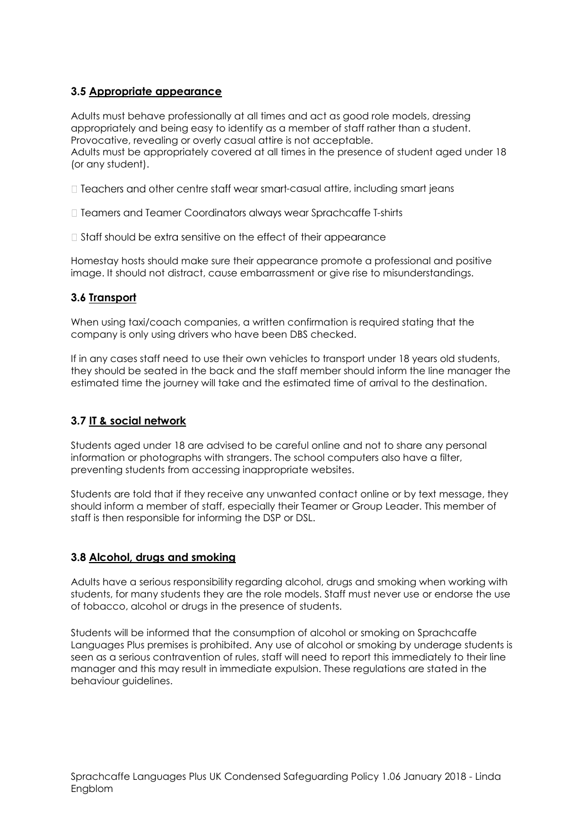## **3.5 Appropriate appearance**

Adults must behave professionally at all times and act as good role models, dressing appropriately and being easy to identify as a member of staff rather than a student. Provocative, revealing or overly casual attire is not acceptable. Adults must be appropriately covered at all times in the presence of student aged under 18 (or any student).

 $\Box$  Teachers and other centre staff wear smart-casual attire, including smart jeans

- □ Teamers and Teamer Coordinators always wear Sprachcaffe T-shirts
- $\Box$  Staff should be extra sensitive on the effect of their appearance

Homestay hosts should make sure their appearance promote a professional and positive image. It should not distract, cause embarrassment or give rise to misunderstandings.

## **3.6 Transport**

When using taxi/coach companies, a written confirmation is required stating that the company is only using drivers who have been DBS checked.

If in any cases staff need to use their own vehicles to transport under 18 years old students, they should be seated in the back and the staff member should inform the line manager the estimated time the journey will take and the estimated time of arrival to the destination.

### **3.7 IT & social network**

Students aged under 18 are advised to be careful online and not to share any personal information or photographs with strangers. The school computers also have a filter, preventing students from accessing inappropriate websites.

Students are told that if they receive any unwanted contact online or by text message, they should inform a member of staff, especially their Teamer or Group Leader. This member of staff is then responsible for informing the DSP or DSL.

#### **3.8 Alcohol, drugs and smoking**

Adults have a serious responsibility regarding alcohol, drugs and smoking when working with students, for many students they are the role models. Staff must never use or endorse the use of tobacco, alcohol or drugs in the presence of students.

Students will be informed that the consumption of alcohol or smoking on Sprachcaffe Languages Plus premises is prohibited. Any use of alcohol or smoking by underage students is seen as a serious contravention of rules, staff will need to report this immediately to their line manager and this may result in immediate expulsion. These regulations are stated in the behaviour guidelines.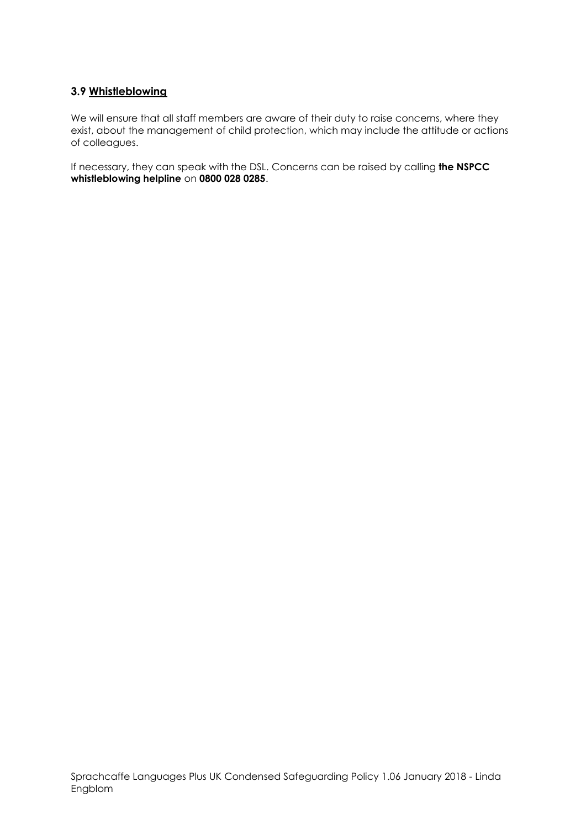## **3.9 Whistleblowing**

We will ensure that all staff members are aware of their duty to raise concerns, where they exist, about the management of child protection, which may include the attitude or actions of colleagues.

If necessary, they can speak with the DSL. Concerns can be raised by calling **the NSPCC whistleblowing helpline** on **0800 028 0285**.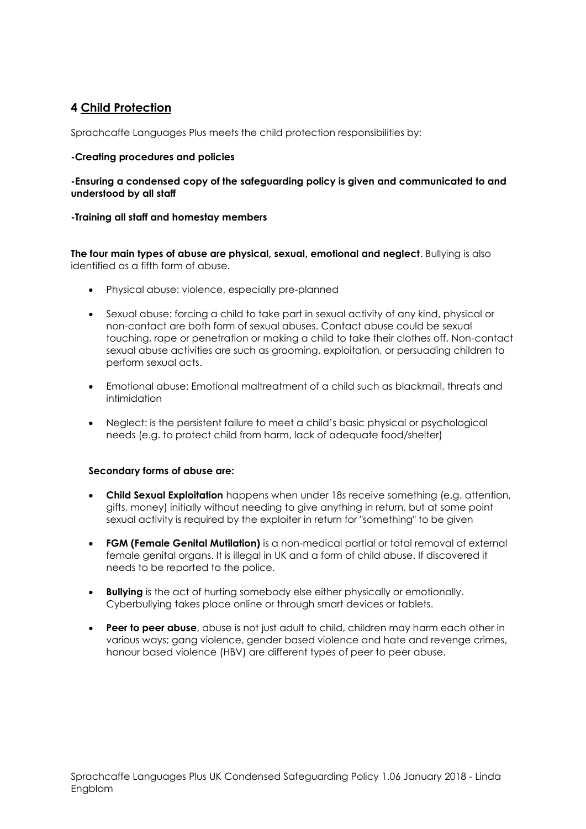## **4 Child Protection**

Sprachcaffe Languages Plus meets the child protection responsibilities by:

#### **-Creating procedures and policies**

#### **-Ensuring a condensed copy of the safeguarding policy is given and communicated to and understood by all staff**

#### **-Training all staff and homestay members**

**The four main types of abuse are physical, sexual, emotional and neglect**. Bullying is also identified as a fifth form of abuse.

- Physical abuse: violence, especially pre-planned
- Sexual abuse: forcing a child to take part in sexual activity of any kind, physical or non-contact are both form of sexual abuses. Contact abuse could be sexual touching, rape or penetration or making a child to take their clothes off. Non-contact sexual abuse activities are such as grooming, exploitation, or persuading children to perform sexual acts.
- Emotional abuse: Emotional maltreatment of a child such as blackmail, threats and intimidation
- Neglect: is the persistent failure to meet a child's basic physical or psychological needs (e.g. to protect child from harm, lack of adequate food/shelter)

#### **Secondary forms of abuse are:**

- **Child Sexual Exploitation** happens when under 18s receive something (e.g. attention, gifts, money) initially without needing to give anything in return, but at some point sexual activity is required by the exploiter in return for "something" to be given
- **FGM (Female Genital Mutilation)** is a non-medical partial or total removal of external female genital organs. It is illegal in UK and a form of child abuse. If discovered it needs to be reported to the police.
- **Bullying** is the act of hurting somebody else either physically or emotionally. Cyberbullying takes place online or through smart devices or tablets.
- **Peer to peer abuse**, abuse is not just adult to child, children may harm each other in various ways; gang violence, gender based violence and hate and revenge crimes, honour based violence (HBV) are different types of peer to peer abuse.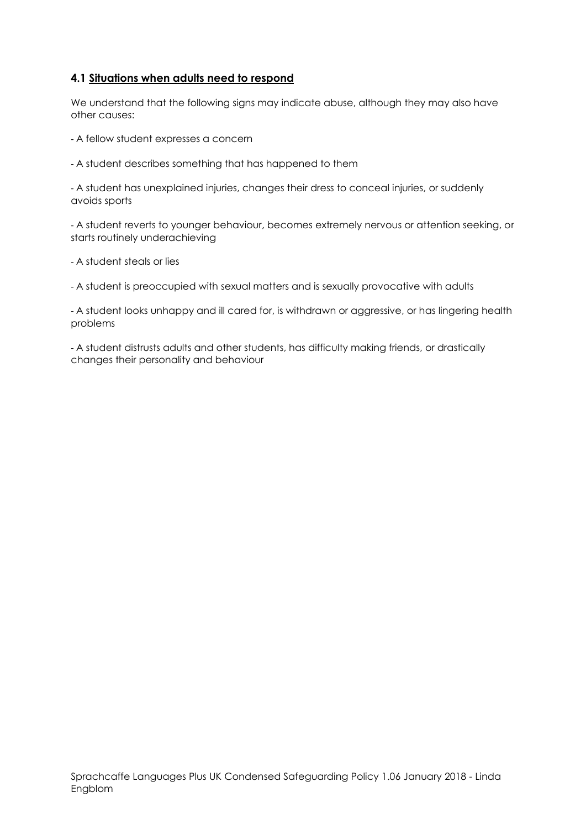## **4.1 Situations when adults need to respond**

We understand that the following signs may indicate abuse, although they may also have other causes:

- A fellow student expresses a concern
- A student describes something that has happened to them

- A student has unexplained injuries, changes their dress to conceal injuries, or suddenly avoids sports

- A student reverts to younger behaviour, becomes extremely nervous or attention seeking, or starts routinely underachieving

- A student steals or lies

- A student is preoccupied with sexual matters and is sexually provocative with adults

- A student looks unhappy and ill cared for, is withdrawn or aggressive, or has lingering health problems

- A student distrusts adults and other students, has difficulty making friends, or drastically changes their personality and behaviour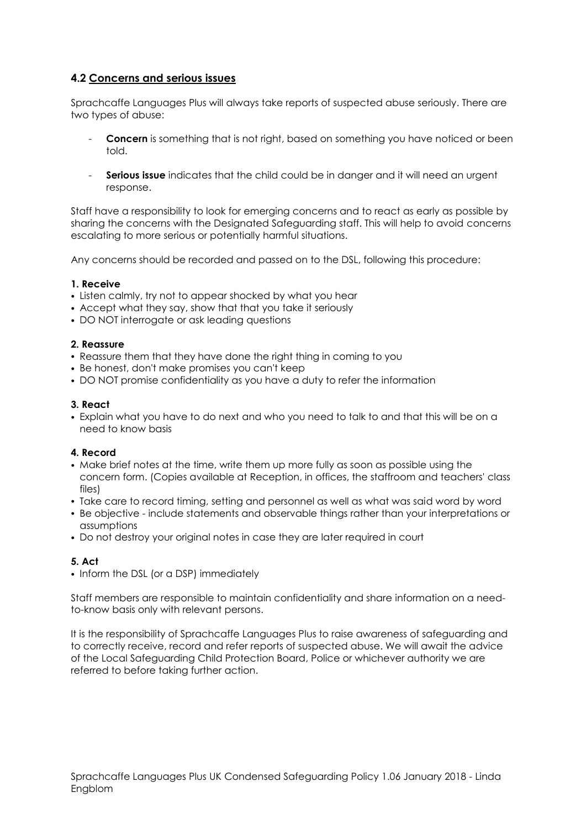## **4.2 Concerns and serious issues**

Sprachcaffe Languages Plus will always take reports of suspected abuse seriously. There are two types of abuse:

- **Concern** is something that is not right, based on something you have noticed or been told.
- Serious issue indicates that the child could be in danger and it will need an urgent response.

Staff have a responsibility to look for emerging concerns and to react as early as possible by sharing the concerns with the Designated Safeguarding staff. This will help to avoid concerns escalating to more serious or potentially harmful situations.

Any concerns should be recorded and passed on to the DSL, following this procedure:

#### **1. Receive**

- Listen calmly, try not to appear shocked by what you hear
- Accept what they say, show that that you take it seriously
- DO NOT interrogate or ask leading questions

#### **2. Reassure**

- Reassure them that they have done the right thing in coming to you
- Be honest, don't make promises you can't keep
- DO NOT promise confidentiality as you have a duty to refer the information

#### **3. React**

• Explain what you have to do next and who you need to talk to and that this will be on a need to know basis

#### **4. Record**

- Make brief notes at the time, write them up more fully as soon as possible using the concern form. (Copies available at Reception, in offices, the staffroom and teachers' class files)
- Take care to record timing, setting and personnel as well as what was said word by word
- Be objective include statements and observable things rather than your interpretations or assumptions
- Do not destroy your original notes in case they are later required in court

#### **5. Act**

• Inform the DSL (or a DSP) immediately

Staff members are responsible to maintain confidentiality and share information on a needto-know basis only with relevant persons.

It is the responsibility of Sprachcaffe Languages Plus to raise awareness of safeguarding and to correctly receive, record and refer reports of suspected abuse. We will await the advice of the Local Safeguarding Child Protection Board, Police or whichever authority we are referred to before taking further action.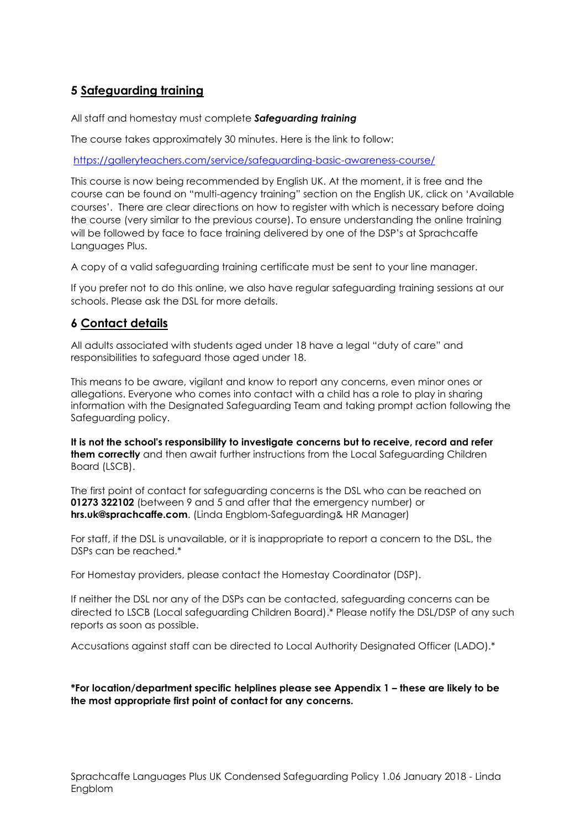## **5 Safeguarding training**

All staff and homestay must complete *Safeguarding training*

The course takes approximately 30 minutes. Here is the link to follow:

<https://galleryteachers.com/service/safeguarding-basic-awareness-course/>

This course is now being recommended by English UK. At the moment, it is free and the course can be found on "multi-agency training" section on the English UK, click on 'Available courses'. There are clear directions on how to register with which is necessary before doing the course (very similar to the previous course). To ensure understanding the online training will be followed by face to face training delivered by one of the DSP's at Sprachcaffe Languages Plus.

A copy of a valid safeguarding training certificate must be sent to your line manager.

If you prefer not to do this online, we also have regular safeguarding training sessions at our schools. Please ask the DSL for more details.

## **6 Contact details**

All adults associated with students aged under 18 have a legal "duty of care" and responsibilities to safeguard those aged under 18.

This means to be aware, vigilant and know to report any concerns, even minor ones or allegations. Everyone who comes into contact with a child has a role to play in sharing information with the Designated Safeguarding Team and taking prompt action following the Safeguarding policy.

**It is not the school's responsibility to investigate concerns but to receive, record and refer them correctly** and then await further instructions from the Local Safeguarding Children Board (LSCB).

The first point of contact for safeguarding concerns is the DSL who can be reached on **01273 322102** (between 9 and 5 and after that the emergency number) or **hrs.uk@sprachcaffe.com**. (Linda Engblom-Safeguarding& HR Manager)

For staff, if the DSL is unavailable, or it is inappropriate to report a concern to the DSL, the DSPs can be reached.\*

For Homestay providers, please contact the Homestay Coordinator (DSP).

If neither the DSL nor any of the DSPs can be contacted, safeguarding concerns can be directed to LSCB (Local safeguarding Children Board).\* Please notify the DSL/DSP of any such reports as soon as possible.

Accusations against staff can be directed to Local Authority Designated Officer (LADO).\*

**\*For location/department specific helplines please see Appendix 1 – these are likely to be the most appropriate first point of contact for any concerns.**